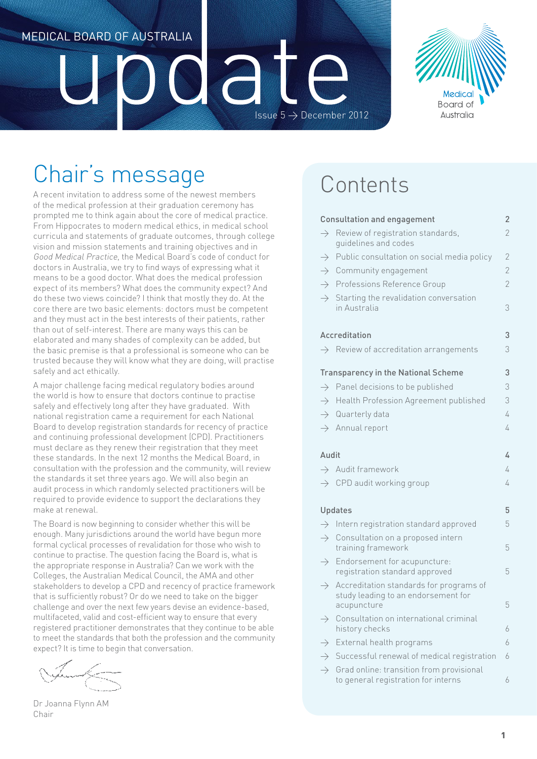## Medical Board of Australia

# a Issue  $5 \rightarrow$  December 2012



# Chair's message

A recent invitation to address some of the newest members of the medical profession at their graduation ceremony has prompted me to think again about the core of medical practice. From Hippocrates to modern medical ethics, in medical school curricula and statements of graduate outcomes, through college vision and mission statements and training objectives and in Good Medical Practice, the Medical Board's code of conduct for doctors in Australia, we try to find ways of expressing what it means to be a good doctor. What does the medical profession expect of its members? What does the community expect? And do these two views coincide? I think that mostly they do. At the core there are two basic elements: doctors must be competent and they must act in the best interests of their patients, rather than out of self-interest. There are many ways this can be elaborated and many shades of complexity can be added, but the basic premise is that a professional is someone who can be trusted because they will know what they are doing, will practise safely and act ethically.

A major challenge facing medical regulatory bodies around the world is how to ensure that doctors continue to practise safely and effectively long after they have graduated. With national registration came a requirement for each National Board to develop registration standards for recency of practice and continuing professional development (CPD). Practitioners must declare as they renew their registration that they meet these standards. In the next 12 months the Medical Board, in consultation with the profession and the community, will review the standards it set three years ago. We will also begin an audit process in which randomly selected practitioners will be required to provide evidence to support the declarations they make at renewal.

The Board is now beginning to consider whether this will be enough. Many jurisdictions around the world have begun more formal cyclical processes of revalidation for those who wish to continue to practise. The question facing the Board is, what is the appropriate response in Australia? Can we work with the Colleges, the Australian Medical Council, the AMA and other stakeholders to develop a CPD and recency of practice framework that is sufficiently robust? Or do we need to take on the bigger challenge and over the next few years devise an evidence-based, multifaceted, valid and cost-efficient way to ensure that every registered practitioner demonstrates that they continue to be able to meet the standards that both the profession and the community expect? It is time to begin that conversation.

Dr Joanna Flynn AM Chair

## Contents

## Consultation and engagement 2  $\rightarrow$  Review of registration standards,  $\sim$  2 guidelines and codes Public consultation on social media policy 2  $\rightarrow$  Community engagement 2  $\rightarrow$  Professions Reference Group 2  $\rightarrow$  Starting the revalidation conversation in Australia 3

#### Accreditation 3  $\rightarrow$  Review of accreditation arrangements  $\rightarrow$  3

|  |  | 7 TVC VIC VV OF QUUL CUITQUIOIT QIT QITUCITICITTO |  |
|--|--|---------------------------------------------------|--|
|  |  |                                                   |  |

#### Transparency in the National Scheme 3

| $\rightarrow$ Panel decisions to be published       | 3 |
|-----------------------------------------------------|---|
| $\rightarrow$ Health Profession Agreement published | 3 |
| $\rightarrow$ Quarterly data                        |   |
| $\rightarrow$ Annual report                         |   |

#### Audit 4 Audit 4 Audit 2014 12:00:00 Audit 2014 12:00:00 Audit 2014 12:00:00 Audit 2014 12:00:00 Audit 2014 12:00:00 Audit 2014 12:00:00 Audit 2014 12:00:00 Audit 2014 12:00:00 Audit 2014 12:00:00 Audit 2014 12:00:00 Audit

|                | $\rightarrow$ Audit framework                       |  |  |
|----------------|-----------------------------------------------------|--|--|
|                | $\rightarrow$ CPD audit working group               |  |  |
|                |                                                     |  |  |
| <b>Updates</b> |                                                     |  |  |
|                | $\rightarrow$ Intern registration standard approved |  |  |

- $\rightarrow$  Consultation on a proposed intern training framework 5  $\rightarrow$  Endorsement for acupuncture:
- registration standard approved 5  $\rightarrow$  Accreditation standards for programs of study leading to an endorsement for acupuncture 5
- $\rightarrow$  Consultation on international criminal history checks 6
- $\rightarrow$  External health programs 6
- $\rightarrow$  Successful renewal of medical registration 6
- $\rightarrow$  Grad online: transition from provisional to general registration for interns 6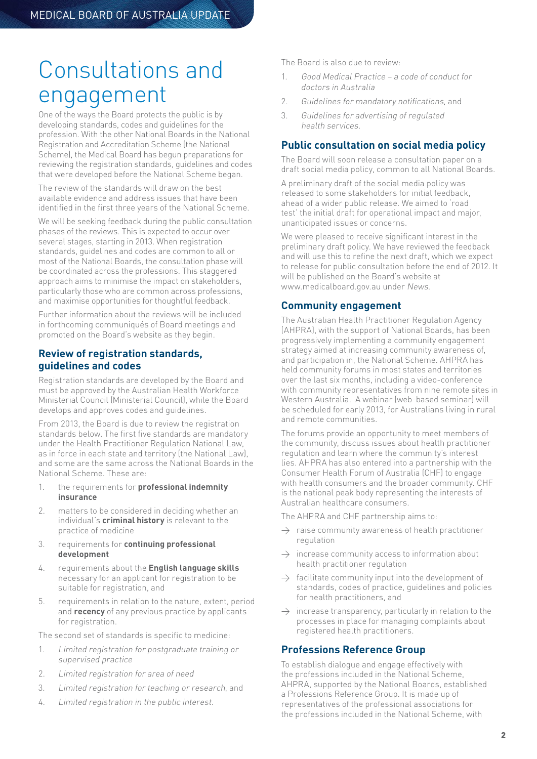## Consultations and engagement

One of the ways the Board protects the public is by developing standards, codes and guidelines for the profession. With the other National Boards in the National Registration and Accreditation Scheme (the National Scheme), the Medical Board has begun preparations for reviewing the registration standards, guidelines and codes that were developed before the National Scheme began.

The review of the standards will draw on the best available evidence and address issues that have been identified in the first three years of the National Scheme.

We will be seeking feedback during the public consultation phases of the reviews. This is expected to occur over several stages, starting in 2013. When registration standards, guidelines and codes are common to all or most of the National Boards, the consultation phase will be coordinated across the professions. This staggered approach aims to minimise the impact on stakeholders, particularly those who are common across professions, and maximise opportunities for thoughtful feedback.

Further information about the reviews will be included in forthcoming communiqués of Board meetings and promoted on the Board's website as they begin.

## **Review of registration standards, guidelines and codes**

Registration standards are developed by the Board and must be approved by the Australian Health Workforce Ministerial Council (Ministerial Council), while the Board develops and approves codes and guidelines.

From 2013, the Board is due to review the registration standards below. The first five standards are mandatory under the Health Practitioner Regulation National Law, as in force in each state and territory (the National Law) and some are the same across the National Boards in the National Scheme. These are:

- 1. the requirements for **professional indemnity insurance**
- 2. matters to be considered in deciding whether an individual's **criminal history** is relevant to the practice of medicine
- 3. requirements for **continuing professional development**
- 4. requirements about the **English language skills**  necessary for an applicant for registration to be suitable for registration, and
- 5. requirements in relation to the nature, extent, period and **recency** of any previous practice by applicants for registration.

The second set of standards is specific to medicine:

- 1. Limited registration for postgraduate training or supervised practice
- 2. Limited registration for area of need
- 3. Limited registration for teaching or research, and
- 4. Limited registration in the public interest.

The Board is also due to review:

- 1. Good Medical Practice a code of conduct for doctors in Australia
- 2. Guidelines for mandatory notifications, and
- 3. Guidelines for advertising of regulated health services.

#### **Public consultation on social media policy**

The Board will soon release a consultation paper on a draft social media policy, common to all National Boards.

A preliminary draft of the social media policy was released to some stakeholders for initial feedback, ahead of a wider public release. We aimed to 'road test' the initial draft for operational impact and major, unanticipated issues or concerns.

We were pleased to receive significant interest in the preliminary draft policy. We have reviewed the feedback and will use this to refine the next draft, which we expect to release for public consultation before the end of 2012. It will be published on the Board's website at www.medicalboard.gov.au under News.

#### **Community engagement**

The Australian Health Practitioner Regulation Agency (AHPRA), with the support of National Boards, has been progressively implementing a community engagement strategy aimed at increasing community awareness of, and participation in, the National Scheme. AHPRA has held community forums in most states and territories over the last six months, including a video-conference with community representatives from nine remote sites in Western Australia. A webinar (web-based seminar) will be scheduled for early 2013, for Australians living in rural and remote communities.

The forums provide an opportunity to meet members of the community, discuss issues about health practitioner regulation and learn where the community's interest lies. AHPRA has also entered into a partnership with the Consumer Health Forum of Australia (CHF) to engage with health consumers and the broader community. CHF is the national peak body representing the interests of Australian healthcare consumers.

The AHPRA and CHF partnership aims to:

- $\rightarrow$  raise community awareness of health practitioner regulation
- $\rightarrow$  increase community access to information about health practitioner regulation
- $\rightarrow$  facilitate community input into the development of standards, codes of practice, guidelines and policies for health practitioners, and
- $\rightarrow$  increase transparency, particularly in relation to the processes in place for managing complaints about registered health practitioners.

#### **Professions Reference Group**

To establish dialogue and engage effectively with the professions included in the National Scheme, AHPRA, supported by the National Boards, established a Professions Reference Group. It is made up of representatives of the professional associations for the professions included in the National Scheme, with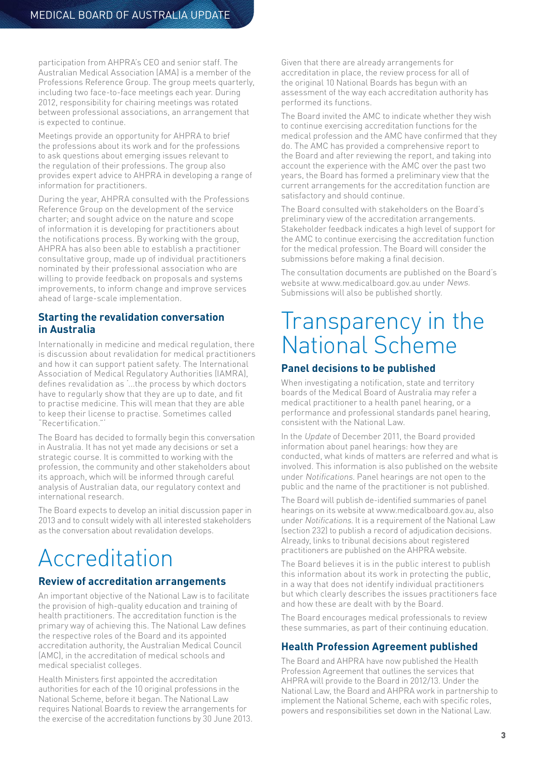participation from AHPRA's CEO and senior staff. The Australian Medical Association (AMA) is a member of the Professions Reference Group. The group meets quarterly, including two face-to-face meetings each year. During 2012, responsibility for chairing meetings was rotated between professional associations, an arrangement that is expected to continue.

Meetings provide an opportunity for AHPRA to brief the professions about its work and for the professions to ask questions about emerging issues relevant to the regulation of their professions. The group also provides expert advice to AHPRA in developing a range of information for practitioners.

During the year, AHPRA consulted with the Professions Reference Group on the development of the service charter; and sought advice on the nature and scope of information it is developing for practitioners about the notifications process. By working with the group, AHPRA has also been able to establish a practitioner consultative group, made up of individual practitioners nominated by their professional association who are willing to provide feedback on proposals and systems improvements, to inform change and improve services ahead of large-scale implementation.

#### **Starting the revalidation conversation in Australia**

Internationally in medicine and medical regulation, there is discussion about revalidation for medical practitioners and how it can support patient safety. The International Association of Medical Regulatory Authorities (IAMRA), defines revalidation as '...the process by which doctors have to regularly show that they are up to date, and fit to practise medicine. This will mean that they are able to keep their license to practise. Sometimes called "Recertification."'

The Board has decided to formally begin this conversation in Australia. It has not yet made any decisions or set a strategic course. It is committed to working with the profession, the community and other stakeholders about its approach, which will be informed through careful analysis of Australian data, our regulatory context and international research.

The Board expects to develop an initial discussion paper in 2013 and to consult widely with all interested stakeholders as the conversation about revalidation develops.

# Accreditation

## **Review of accreditation arrangements**

An important objective of the National Law is to facilitate the provision of high-quality education and training of health practitioners. The accreditation function is the primary way of achieving this. The National Law defines the respective roles of the Board and its appointed accreditation authority, the Australian Medical Council (AMC), in the accreditation of medical schools and medical specialist colleges.

Health Ministers first appointed the accreditation authorities for each of the 10 original professions in the National Scheme, before it began. The National Law requires National Boards to review the arrangements for the exercise of the accreditation functions by 30 June 2013. Given that there are already arrangements for accreditation in place, the review process for all of the original 10 National Boards has begun with an assessment of the way each accreditation authority has performed its functions.

The Board invited the AMC to indicate whether they wish to continue exercising accreditation functions for the medical profession and the AMC have confirmed that they do. The AMC has provided a comprehensive report to the Board and after reviewing the report, and taking into account the experience with the AMC over the past two years, the Board has formed a preliminary view that the current arrangements for the accreditation function are satisfactory and should continue.

The Board consulted with stakeholders on the Board's preliminary view of the accreditation arrangements. Stakeholder feedback indicates a high level of support for the AMC to continue exercising the accreditation function for the medical profession. The Board will consider the submissions before making a final decision.

The consultation documents are published on the Board's website at www.medicalboard.gov.au under News. Submissions will also be published shortly.

## Iransparency in the National Scheme

## **Panel decisions to be published**

When investigating a notification, state and territory boards of the Medical Board of Australia may refer a medical practitioner to a health panel hearing, or a performance and professional standards panel hearing, consistent with the National Law.

In the Update of December 2011, the Board provided information about panel hearings: how they are conducted, what kinds of matters are referred and what is involved. This information is also published on the website under Notifications. Panel hearings are not open to the public and the name of the practitioner is not published.

The Board will publish de-identified summaries of panel hearings on its website at www.medicalboard.gov.au, also under Notifications. It is a requirement of the National Law (section 232) to publish a record of adjudication decisions. Already, links to tribunal decisions about registered practitioners are published on the AHPRA website.

The Board believes it is in the public interest to publish this information about its work in protecting the public, in a way that does not identify individual practitioners but which clearly describes the issues practitioners face and how these are dealt with by the Board.

The Board encourages medical professionals to review these summaries, as part of their continuing education.

## **Health Profession Agreement published**

The Board and AHPRA have now published the Health Profession Agreement that outlines the services that AHPRA will provide to the Board in 2012/13. Under the National Law, the Board and AHPRA work in partnership to implement the National Scheme, each with specific roles, powers and responsibilities set down in the National Law.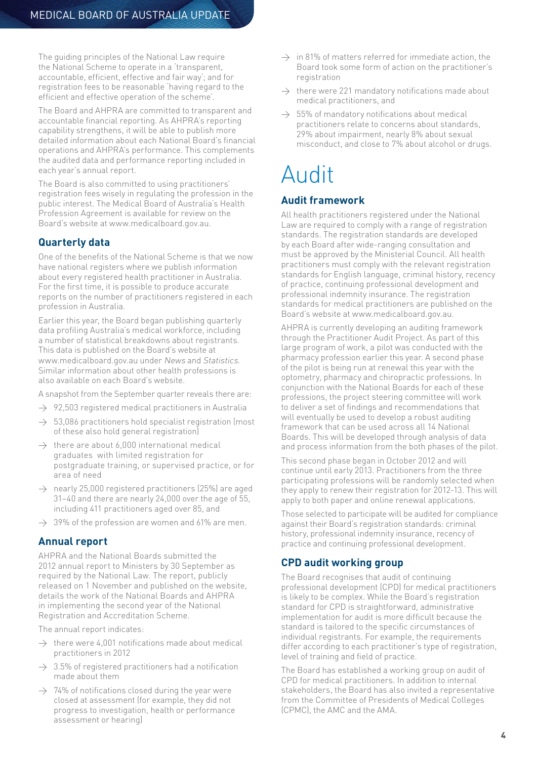The guiding principles of the National Law require the National Scheme to operate in a 'transparent, accountable, efficient, effective and fair way'; and for registration fees to be reasonable 'having regard to the efficient and effective operation of the scheme'.

The Board and AHPRA are committed to transparent and accountable financial reporting. As AHPRA's reporting capability strengthens, it will be able to publish more detailed information about each National Board's financial operations and AHPRA's performance. This complements the audited data and performance reporting included in each year's annual report.

The Board is also committed to using practitioners' registration fees wisely in regulating the profession in the public interest. The Medical Board of Australia's Health Profession Agreement is available for review on the Board's website at [www.medicalboard.gov.au.](http://www.medicalboard.gov.au)

## **Quarterly data**

One of the benefits of the National Scheme is that we now have national registers where we publish information about every registered health practitioner in Australia. For the first time, it is possible to produce accurate reports on the number of practitioners registered in each profession in Australia.

Earlier this year, the Board began publishing quarterly data profiling Australia's medical workforce, including a number of statistical breakdowns about registrants. This data is published on the Board's website at [www.medicalboard.gov.au](http://www.medicalboard.gov.au) under News and Statistics. Similar information about other health professions is also available on each Board's website.

A snapshot from the September quarter reveals there are:

- $\rightarrow$  92,503 registered medical practitioners in Australia
- $\rightarrow$  53,086 practitioners hold specialist registration (most of these also hold general registration)
- $\rightarrow$  there are about 6,000 international medical graduates with limited registration for postgraduate training, or supervised practice, or for area of need
- $\rightarrow$  nearly 25,000 registered practitioners (25%) are aged 31–40 and there are nearly 24,000 over the age of 55, including 411 practitioners aged over 85, and
- $\rightarrow$  39% of the profession are women and 61% are men.

## **Annual report**

AHPRA and the National Boards submitted the 2012 annual report to Ministers by 30 September as required by the National Law. The report, publicly released on 1 November and published on the website, details the work of the National Boards and AHPRA in implementing the second year of the National Registration and Accreditation Scheme.

The annual report indicates:

- $\rightarrow$  there were 4,001 notifications made about medical practitioners in 2012
- $\rightarrow$  3.5% of registered practitioners had a notification made about them
- $\rightarrow$  74% of notifications closed during the year were closed at assessment (for example, they did not progress to investigation, health or performance assessment or hearing)
- $\rightarrow$  in 81% of matters referred for immediate action, the Board took some form of action on the practitioner's registration
- there were 221 mandatory notifications made about medical practitioners, and
- $\rightarrow$  55% of mandatory notifications about medical practitioners relate to concerns about standards, 29% about impairment, nearly 8% about sexual misconduct, and close to 7% about alcohol or drugs.

# Audit

## **Audit framework**

All health practitioners registered under the National Law are required to comply with a range of registration standards. The registration standards are developed by each Board after wide-ranging consultation and must be approved by the Ministerial Council. All health practitioners must comply with the relevant registration standards for English language, criminal history, recency of practice, continuing professional development and professional indemnity insurance. The registration standards for medical practitioners are published on the Board's website at www.medicalboard.gov.au.

AHPRA is currently developing an auditing framework through the Practitioner Audit Project. As part of this large program of work, a pilot was conducted with the pharmacy profession earlier this year. A second phase of the pilot is being run at renewal this year with the optometry, pharmacy and chiropractic professions. In conjunction with the National Boards for each of these professions, the project steering committee will work to deliver a set of findings and recommendations that will eventually be used to develop a robust auditing framework that can be used across all 14 National Boards. This will be developed through analysis of data and process information from the both phases of the pilot.

This second phase began in October 2012 and will continue until early 2013. Practitioners from the three participating professions will be randomly selected when they apply to renew their registration for 2012-13. This will apply to both paper and online renewal applications.

Those selected to participate will be audited for compliance against their Board's registration standards: criminal history, professional indemnity insurance, recency of practice and continuing professional development.

## **CPD audit working group**

The Board recognises that audit of continuing professional development (CPD) for medical practitioners is likely to be complex. While the Board's registration standard for CPD is straightforward, administrative implementation for audit is more difficult because the standard is tailored to the specific circumstances of individual registrants. For example, the requirements differ according to each practitioner's type of registration, level of training and field of practice.

The Board has established a working group on audit of CPD for medical practitioners. In addition to internal stakeholders, the Board has also invited a representative from the Committee of Presidents of Medical Colleges (CPMC), the AMC and the AMA.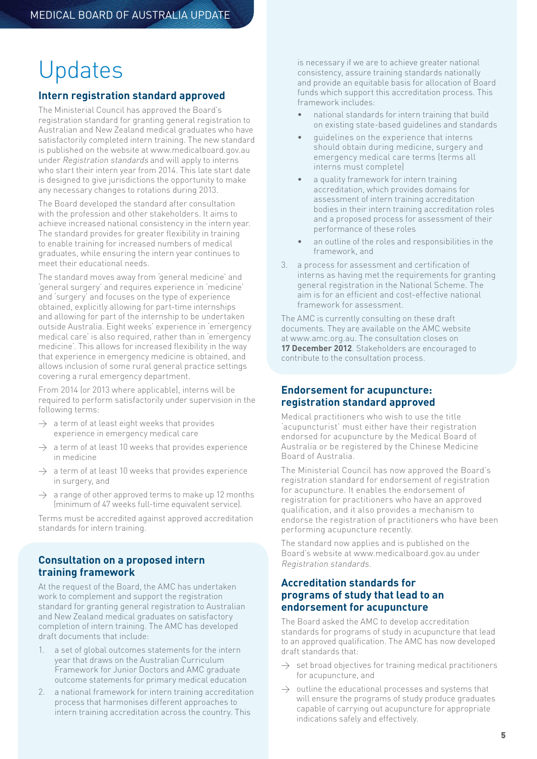## Updates

#### **Intern registration standard approved**

The Ministerial Council has approved the Board's registration standard for granting general registration to Australian and New Zealand medical graduates who have satisfactorily completed intern training. The new standard is published on the website at www.medicalboard.gov.au under Registration standards and will apply to interns who start their intern year from 2014. This late start date is designed to give jurisdictions the opportunity to make any necessary changes to rotations during 2013.

The Board developed the standard after consultation with the profession and other stakeholders. It aims to achieve increased national consistency in the intern year. The standard provides for greater flexibility in training to enable training for increased numbers of medical graduates, while ensuring the intern year continues to meet their educational needs.

The standard moves away from 'general medicine' and 'general surgery' and requires experience in 'medicine' and 'surgery' and focuses on the type of experience obtained, explicitly allowing for part-time internships and allowing for part of the internship to be undertaken outside Australia. Eight weeks' experience in 'emergency medical care' is also required, rather than in 'emergency medicine'. This allows for increased flexibility in the way that experience in emergency medicine is obtained, and allows inclusion of some rural general practice settings covering a rural emergency department.

From 2014 (or 2013 where applicable), interns will be required to perform satisfactorily under supervision in the following terms:

- $\rightarrow$  a term of at least eight weeks that provides experience in emergency medical care
- $\rightarrow$  a term of at least 10 weeks that provides experience in medicine
- $\rightarrow$  a term of at least 10 weeks that provides experience in surgery, and
- $\rightarrow$  a range of other approved terms to make up 12 months (minimum of 47 weeks full-time equivalent service).

Terms must be accredited against approved accreditation standards for intern training.

#### **Consultation on a proposed intern training framework**

At the request of the Board, the AMC has undertaken work to complement and support the registration standard for granting general registration to Australian and New Zealand medical graduates on satisfactory completion of intern training. The AMC has developed draft documents that include:

- a set of global outcomes statements for the intern year that draws on the Australian Curriculum Framework for Junior Doctors and AMC graduate outcome statements for primary medical education
- 2. a national framework for intern training accreditation process that harmonises different approaches to intern training accreditation across the country. This

is necessary if we are to achieve greater national consistency, assure training standards nationally and provide an equitable basis for allocation of Board funds which support this accreditation process. This framework includes:

- national standards for intern training that build on existing state-based guidelines and standards
- quidelines on the experience that interns should obtain during medicine, surgery and emergency medical care terms (terms all interns must complete)
- a quality framework for intern training accreditation, which provides domains for assessment of intern training accreditation bodies in their intern training accreditation roles and a proposed process for assessment of their performance of these roles
- an outline of the roles and responsibilities in the framework, and
- 3. a process for assessment and certification of interns as having met the requirements for granting general registration in the National Scheme. The aim is for an efficient and cost-effective national framework for assessment.

The AMC is currently consulting on these draft documents. They are available on the AMC website at www.amc.org.au. The consultation closes on **17 December 2012**. Stakeholders are encouraged to contribute to the consultation process.

## **Endorsement for acupuncture: registration standard approved**

Medical practitioners who wish to use the title 'acupuncturist' must either have their registration endorsed for acupuncture by the Medical Board of Australia or be registered by the Chinese Medicine Board of Australia.

The Ministerial Council has now approved the Board's registration standard for endorsement of registration for acupuncture. It enables the endorsement of registration for practitioners who have an approved qualification, and it also provides a mechanism to endorse the registration of practitioners who have been performing acupuncture recently.

The standard now applies and is published on the Board's website at www.medicalboard.gov.au under Registration standards.

## **Accreditation standards for programs of study that lead to an endorsement for acupuncture**

The Board asked the AMC to develop accreditation standards for programs of study in acupuncture that lead to an approved qualification. The AMC has now developed draft standards that:

- set broad objectives for training medical practitioners for acupuncture, and
- $\rightarrow$  outline the educational processes and systems that will ensure the programs of study produce graduates capable of carrying out acupuncture for appropriate indications safely and effectively.